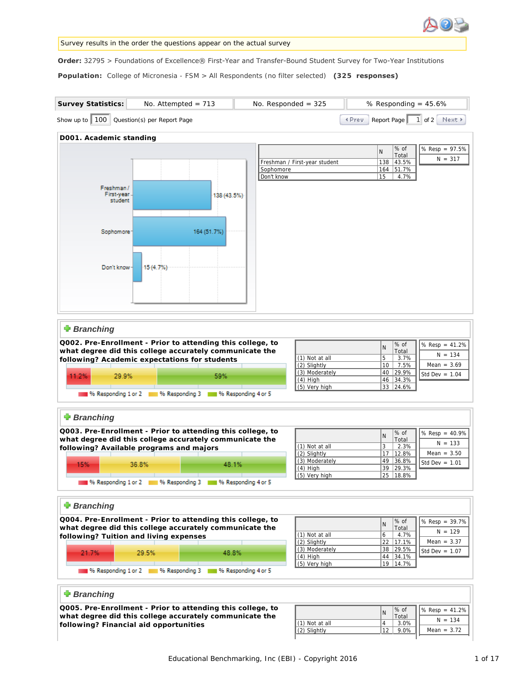

#### Survey results in the order the questions appear on the actual survey

Order: 32795 > Foundations of Excellence® First-Year and Transfer-Bound Student Survey for Two-Year Institutions

**Population:** College of Micronesia - FSM > All Respondents (no filter selected)  **(325 responses)**

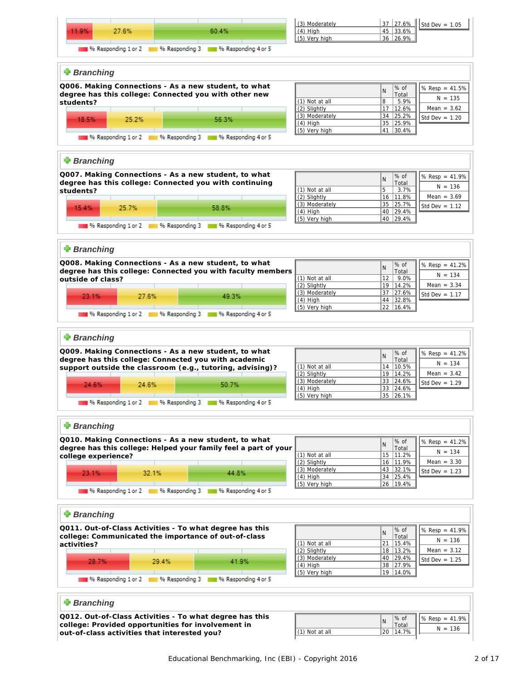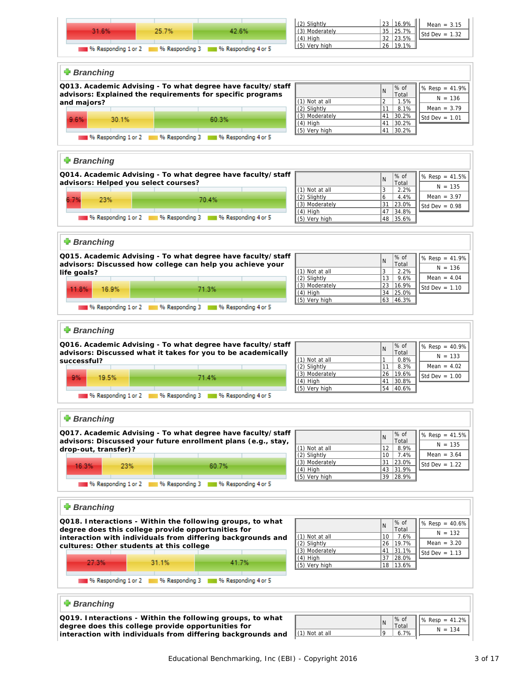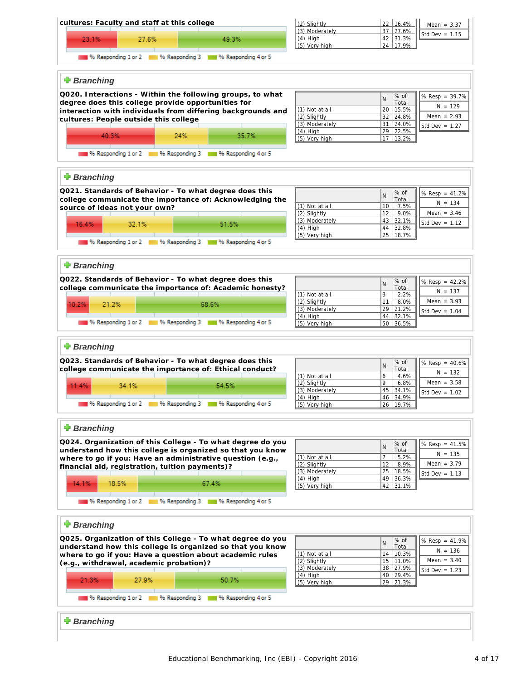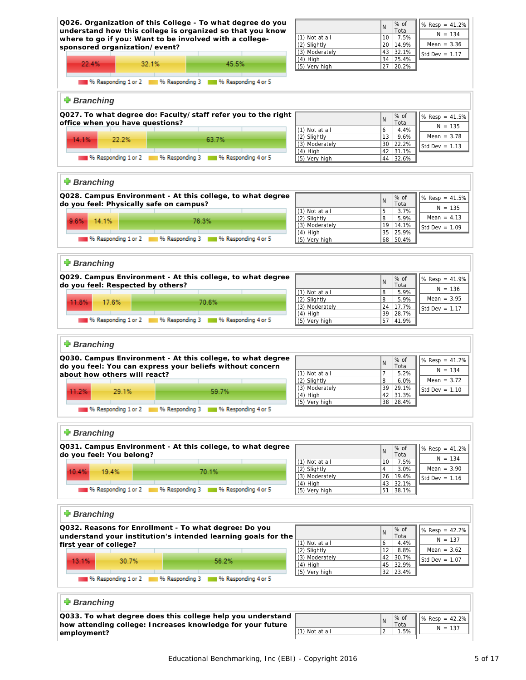![](_page_4_Figure_0.jpeg)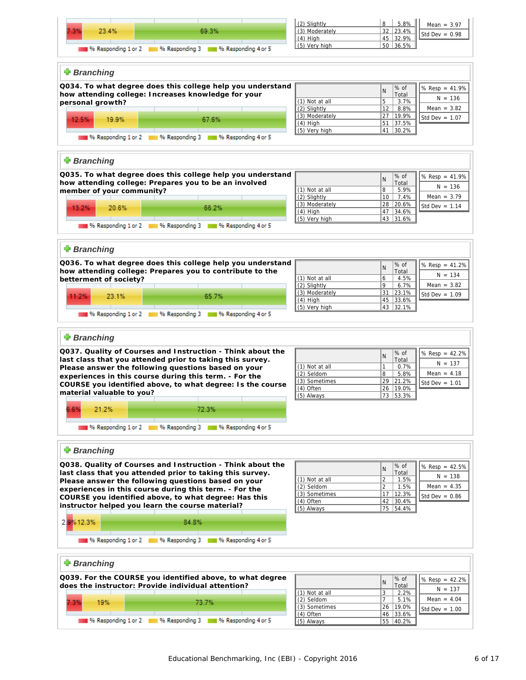![](_page_5_Figure_0.jpeg)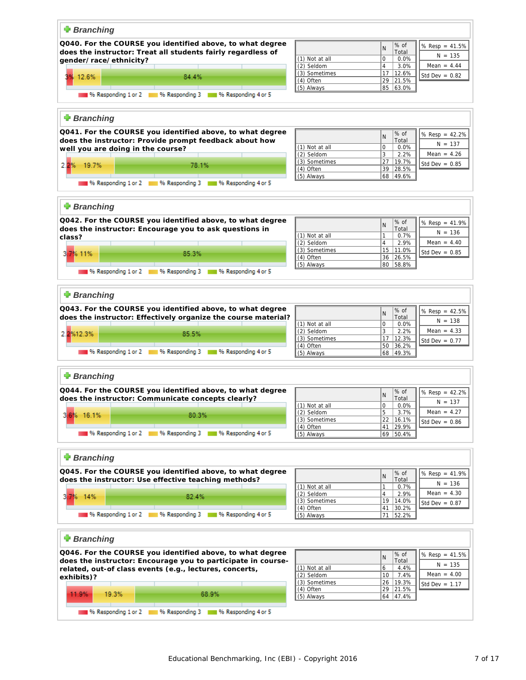![](_page_6_Figure_0.jpeg)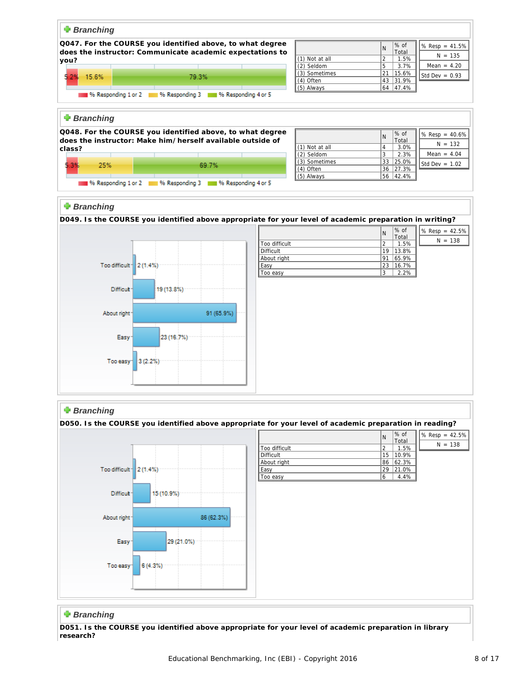![](_page_7_Figure_0.jpeg)

## **Branching**

**D051. Is the COURSE you identified above appropriate for your level of academic preparation in library research?**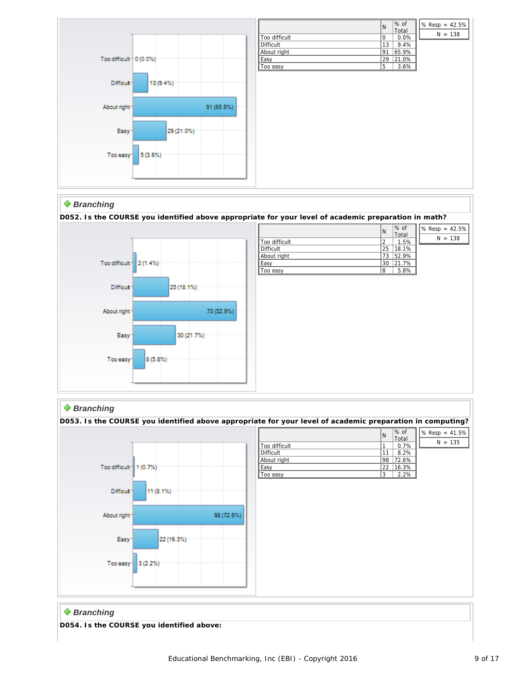![](_page_8_Figure_0.jpeg)

|               | N  | % of          | $\frac{8}{1\%}$ Resp = 42.5% |
|---------------|----|---------------|------------------------------|
| Too difficult |    | Total<br>0.0% | $N = 138$                    |
| Difficult     | 13 | 9.4%          |                              |
| About right   | 91 | 65.9%         |                              |
| Easy          | 29 | 21.0%         |                              |
| Too easy      | 5  | 3.6%          |                              |

N

Total

 $N = 138$ 

# **Branching**

**D052. Is the COURSE you identified above appropriate for your level of academic preparation in math?**  $\overline{\% \text{ of } }$  $\sqrt{$8 \text{ Resp} = 42.5\%}$ 

![](_page_8_Figure_4.jpeg)

# *Branching*

![](_page_8_Figure_6.jpeg)

# **Branching**

**D054. Is the COURSE you identified above:**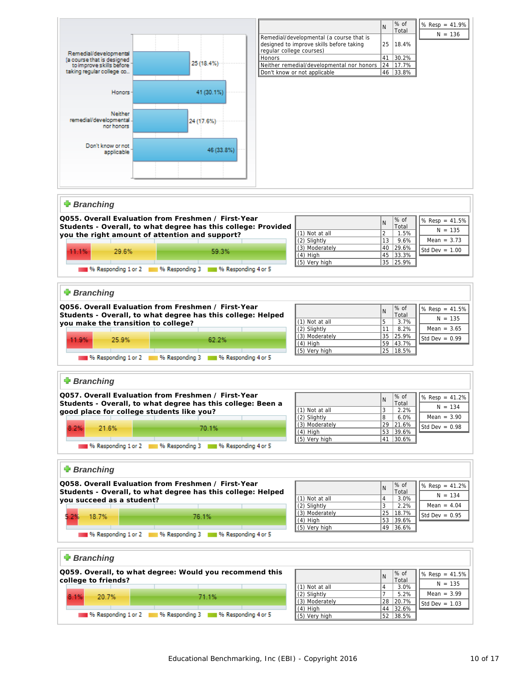![](_page_9_Figure_0.jpeg)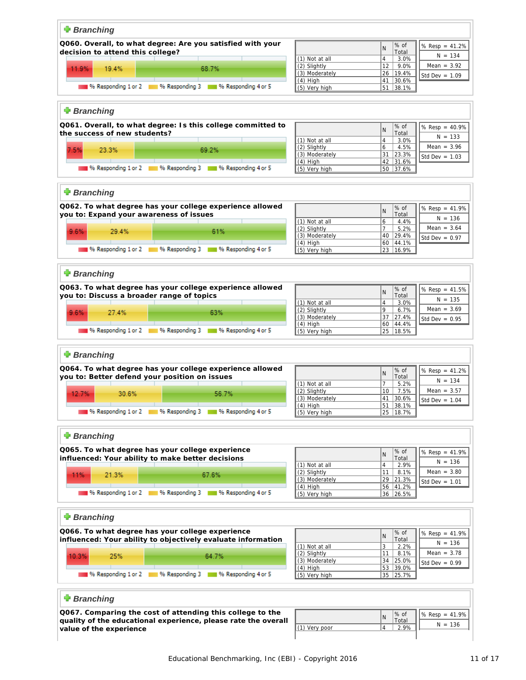| <b>Branching</b>                                                                  |                                |                                                                    |
|-----------------------------------------------------------------------------------|--------------------------------|--------------------------------------------------------------------|
|                                                                                   |                                |                                                                    |
| Q060. Overall, to what degree: Are you satisfied with your                        |                                | % of<br>% $Resp = 41.2%$<br>$\mathsf{N}$                           |
| decision to attend this college?                                                  |                                | Total<br>$N = 134$                                                 |
|                                                                                   | (1) Not at all<br>(2) Slightly | $\overline{4}$<br>3.0%<br>Mean = $3.92$<br>12 <sup>2</sup><br>9.0% |
| 11.9%<br>19.4%<br>68.7%                                                           | (3) Moderately                 | 26   19.4%                                                         |
|                                                                                   | $(4)$ High                     | Std Dev = $1.09$<br>41 30.6%                                       |
| <sup>96</sup> Responding 1 or 2 <sup>96</sup> Responding 3 8 96 Responding 4 or 5 | (5) Very high                  | 51 38.1%                                                           |
|                                                                                   |                                |                                                                    |
|                                                                                   |                                |                                                                    |
| <b>Branching</b>                                                                  |                                |                                                                    |
| Q061. Overall, to what degree: Is this college committed to                       |                                |                                                                    |
| the success of new students?                                                      |                                | % of<br>% $Resp = 40.9%$<br>N<br>Total                             |
|                                                                                   | (1) Not at all                 | $N = 133$<br>$\overline{4}$<br>3.0%                                |
| 7.5%<br>23.3%<br>69.2%                                                            | (2) Slightly                   | Mean = $3.96$<br>6<br>4.5%                                         |
|                                                                                   | (3) Moderately                 | 31 23.3%<br>Std Dev = $1.03$                                       |
|                                                                                   | $(4)$ High                     | 42 31.6%                                                           |
| % Responding 1 or 2 % Responding 3 4 % Responding 4 or 5                          | (5) Very high                  | 50 37.6%                                                           |
|                                                                                   |                                |                                                                    |
| <b>+</b> Branching                                                                |                                |                                                                    |
|                                                                                   |                                |                                                                    |
| Q062. To what degree has your college experience allowed                          |                                | % of<br>% $Resp = 41.9%$<br>N                                      |
| you to: Expand your awareness of issues                                           |                                | Total<br>$N = 136$                                                 |
|                                                                                   | (1) Not at all                 | 6<br>4.4%                                                          |
| 9.6%<br>29.4%<br>61%                                                              | (2) Slightly                   | Mean = $3.64$<br>$\overline{7}$<br>5.2%                            |
|                                                                                   | (3) Moderately                 | 40 29.4%<br>Std Dev = $0.97$<br>60 44.1%                           |
| 196 Responding 1 or 2 18 96 Responding 3 18 96 Responding 4 or 5                  | $(4)$ High<br>(5) Very high    | 23   16.9%                                                         |
|                                                                                   |                                |                                                                    |
|                                                                                   |                                |                                                                    |
| <b>Branching</b>                                                                  |                                |                                                                    |
|                                                                                   |                                |                                                                    |
| Q063. To what degree has your college experience allowed                          |                                | % of<br>% $Resp = 41.5%$<br>N                                      |
| you to: Discuss a broader range of topics                                         |                                | Total<br>$N = 135$                                                 |
|                                                                                   | (1) Not at all<br>(2) Slightly | $\overline{4}$<br>3.0%<br>9<br>Mean = $3.69$<br>6.7%               |
| 9.6%<br>27.4%<br>63%                                                              | (3) Moderately                 | 37 27.4%                                                           |
|                                                                                   | $(4)$ High                     | Std Dev = $0.95$<br>60 44.4%                                       |
| 196 Responding 1 or 2 18 % Responding 3 18 % Responding 4 or 5                    | (5) Very high                  | 25   18.5%                                                         |
|                                                                                   |                                |                                                                    |
|                                                                                   |                                |                                                                    |
| <b>Branching</b>                                                                  |                                |                                                                    |
| Q064. To what degree has your college experience allowed                          |                                | % of<br>% $Resp = 41.2%$                                           |
| you to: Better defend your position on issues                                     |                                | $\mathsf{N}$<br>Total                                              |
|                                                                                   | (1) Not at all                 | $N = 134$<br>$\overline{7}$<br>5.2%                                |
| 12.7%<br>56.7%<br>30.6%                                                           | (2) Slightly                   | 10<br>Mean = $3.57$<br>7.5%                                        |
|                                                                                   | (3) Moderately                 | 41<br>30.6%<br>Std Dev = $1.04$                                    |
| 196 Responding 1 or 2 11 96 Responding 3 11 96 Responding 4 or 5                  | <u>(4) High</u>                | $51$ 38.1%                                                         |
|                                                                                   | (5) Very high                  | 25   18.7%                                                         |
|                                                                                   |                                |                                                                    |
| <b>Branching</b>                                                                  |                                |                                                                    |
|                                                                                   |                                |                                                                    |
| Q065. To what degree has your college experience                                  |                                | % of<br>% Resp = $41.9%$<br>N                                      |
| influenced: Your ability to make better decisions                                 |                                | Total<br>$N = 136$                                                 |
|                                                                                   | (1) Not at all<br>(2) Slightly | $\overline{4}$<br>2.9%<br>Mean = $3.80$                            |
| 11%<br>21.3%<br>67.6%                                                             | (3) Moderately                 | 11<br>8.1%<br>29 21.3%                                             |
|                                                                                   | $(4)$ High                     | Std Dev = $1.01$<br>56 41.2%                                       |
| % Responding 1 or 2 % Responding 3 4 % Responding 4 or 5                          | (5) Very high                  | 36 26.5%                                                           |
|                                                                                   |                                |                                                                    |
|                                                                                   |                                |                                                                    |
| <b>+</b> Branching                                                                |                                |                                                                    |
| Q066. To what degree has your college experience                                  |                                |                                                                    |
| influenced: Your ability to objectively evaluate information                      |                                | % of<br>% $Resp = 41.9%$<br>N<br>Total                             |
|                                                                                   | (1) Not at all                 | $N = 136$<br>3<br>2.2%                                             |
|                                                                                   | (2) Slightly                   | Mean = $3.78$<br>8.1%<br>11                                        |
| 10.3%<br>25%<br>64.7%                                                             | (3) Moderately                 | 34 25.0%<br>Std Dev = $0.99$                                       |
|                                                                                   | (4) High                       | 53 39.0%                                                           |
| 196 Responding 1 or 2 18 96 Responding 3 18 96 Responding 4 or 5                  | (5) Very high                  | 35 25.7%                                                           |
|                                                                                   |                                |                                                                    |
| <b>+</b> Branching                                                                |                                |                                                                    |
|                                                                                   |                                |                                                                    |
| Q067. Comparing the cost of attending this college to the                         |                                | % of<br>% Resp = 41.9%                                             |
| quality of the educational experience, please rate the overall                    |                                | N<br>Total                                                         |

 $(1)$  Very poor

**quality of the educational experience, please rate the overall**

**value of the experience**

 $N = 136$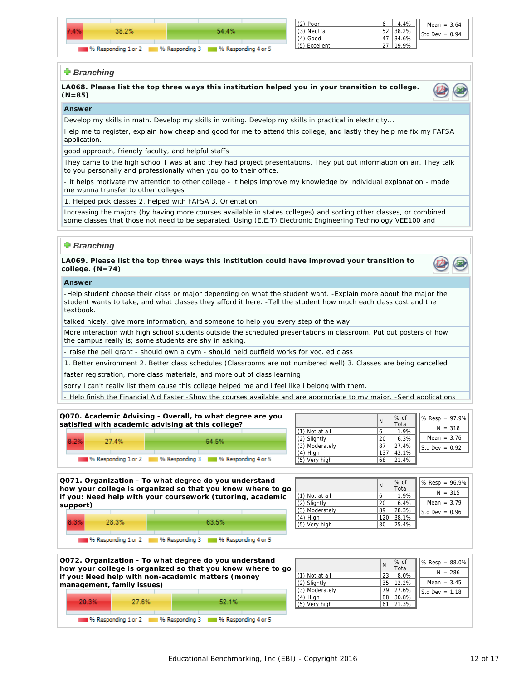![](_page_11_Figure_0.jpeg)

| (2) Poor      | 4.4%  | Mean = $3.64$    |
|---------------|-------|------------------|
| (3) Neutral   | 38.2% | Std Dev = $0.94$ |
| $(4)$ Good    | 34.6% |                  |
| (5) Excellent |       |                  |
|               |       |                  |

### **Branching**

**LA068. Please list the top three ways this institution helped you in your transition to college. (N=85)**

![](_page_11_Picture_4.jpeg)

#### **Answer**

Develop my skills in math. Develop my skills in writing. Develop my skills in practical in electricity...

Help me to register, explain how cheap and good for me to attend this college, and lastly they help me fix my FAFSA application.

good approach, friendly faculty, and helpful staffs

They came to the high school I was at and they had project presentations. They put out information on air. They talk to you personally and professionally when you go to their office.

- it helps motivate my attention to other college - it helps improve my knowledge by individual explanation - made me wanna transfer to other colleges

1. Helped pick classes 2. helped with FAFSA 3. Orientation

Increasing the majors (by having more courses available in states colleges) and sorting other classes, or combined some classes that those not need to be separated. Using (E.E.T) Electronic Engineering Technology VEE100 and VSP121 those not need to by separated. It has fewer lessons and it can be learned in lease than half of a quarter.

### **Branching**

**LA069. Please list the top three ways this institution could have improved your transition to college. (N=74)**

![](_page_11_Picture_15.jpeg)

#### **Answer**

-Help student choose their class or major depending on what the student want. -Explain more about the major the student wants to take, and what classes they afford it here. -Tell the student how much each class cost and the textbook.

talked nicely, give more information, and someone to help you every step of the way

More interaction with high school students outside the scheduled presentations in classroom. Put out posters of how the campus really is; some students are shy in asking.

- raise the pell grant - should own a gym - should held outfield works for voc. ed class

1. Better environment 2. Better class schedules (Classrooms are not numbered well) 3. Classes are being cancelled

faster registration, more class materials, and more out of class learning

sorry i can't really list them cause this college helped me and i feel like i belong with them.

- Help finish the Financial Aid Faster -Show the courses available and are appropriate to my major. -Send applications

| Q070. Academic Advising - Overall, to what degree are you<br>satisfied with academic advising at this college? |                                                                |                            | l N | $\%$ of<br>Total | $\sqrt{8}$ Resp = 97.9% |
|----------------------------------------------------------------------------------------------------------------|----------------------------------------------------------------|----------------------------|-----|------------------|-------------------------|
|                                                                                                                |                                                                | $\parallel$ (1) Not at all |     | 1.9%             | $N = 318$               |
| 8.2%<br>27.4%                                                                                                  | 64.5%                                                          | $\parallel$ (2) Slightly   | 20  | 6.3%             | Mean = $3.76$           |
|                                                                                                                |                                                                | $\parallel$ (3) Moderately | 87  | 27.4%            | Std Dev = $0.92$        |
|                                                                                                                |                                                                | $(4)$ High                 | 137 | 43.1%            |                         |
|                                                                                                                | 196 Responding 1 or 2 18 % Responding 3 18 % Responding 4 or 5 | $\parallel$ (5) Very high  | 68  | 21.4%            |                         |
|                                                                                                                |                                                                |                            |     |                  |                         |

![](_page_11_Figure_26.jpeg)

|                                                            |          |                            | Q072. Organization - To what degree do you understand<br>how your college is organized so that you know where to go |                  | l N | $\%$ of<br>Total | $\left  \%$ Resp = 88.0% |
|------------------------------------------------------------|----------|----------------------------|---------------------------------------------------------------------------------------------------------------------|------------------|-----|------------------|--------------------------|
|                                                            |          |                            | if you: Need help with non-academic matters (money                                                                  | l (1) Not at all | 23  | 8.0%             | $N = 286$                |
|                                                            |          | management, family issues) |                                                                                                                     | $(2)$ Slightly   |     | 35 12.2%         | Mean = $3.45$            |
|                                                            |          |                            |                                                                                                                     | (3) Moderately   |     | 79 27.6%         | Std Dev = $1.18$         |
|                                                            |          |                            |                                                                                                                     | $(4)$ High       |     | 88 30.8%         |                          |
|                                                            | $-20.3%$ | 27.6%                      | 52.1%                                                                                                               | (5) Very high    |     | 61 21.3%         |                          |
|                                                            |          |                            |                                                                                                                     |                  |     |                  |                          |
| % Responding 1 or 2 4 % Responding 3 4 % Responding 4 or 5 |          |                            |                                                                                                                     |                  |     |                  |                          |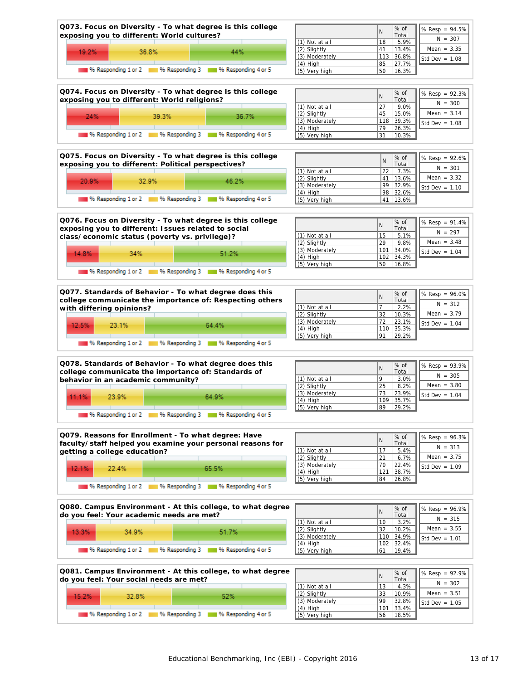![](_page_12_Figure_0.jpeg)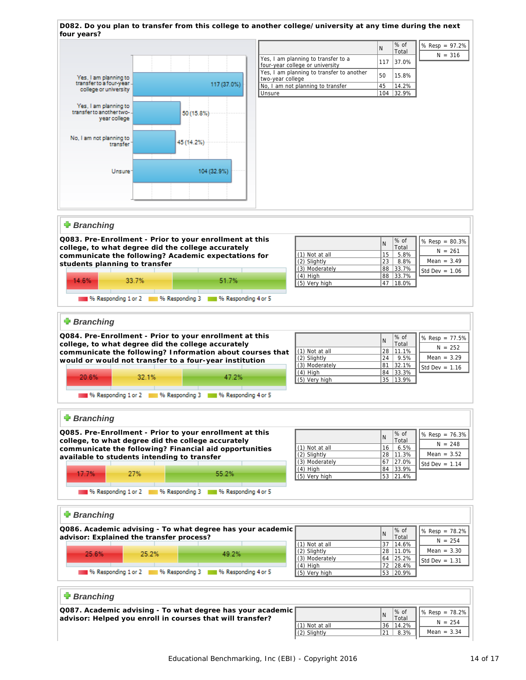![](_page_13_Figure_0.jpeg)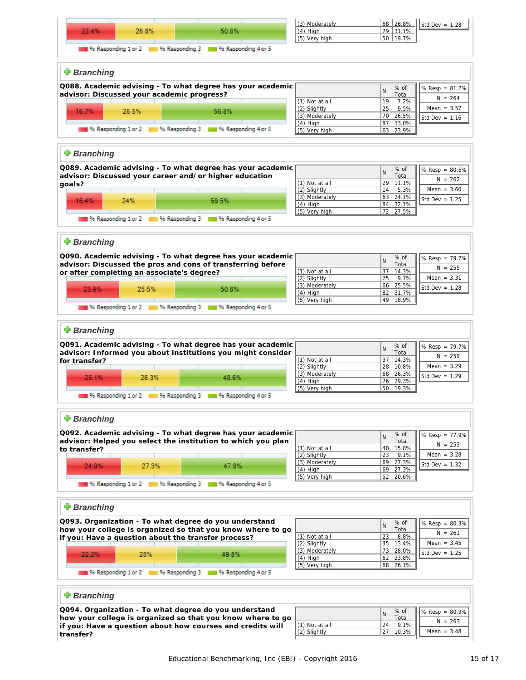![](_page_14_Figure_0.jpeg)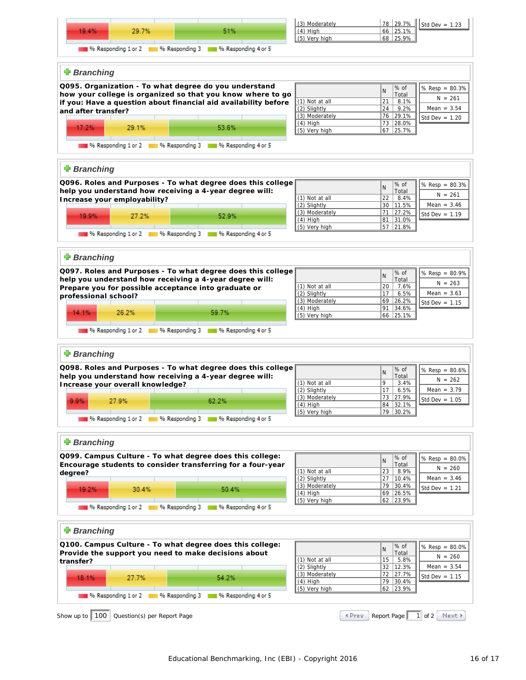![](_page_15_Figure_0.jpeg)